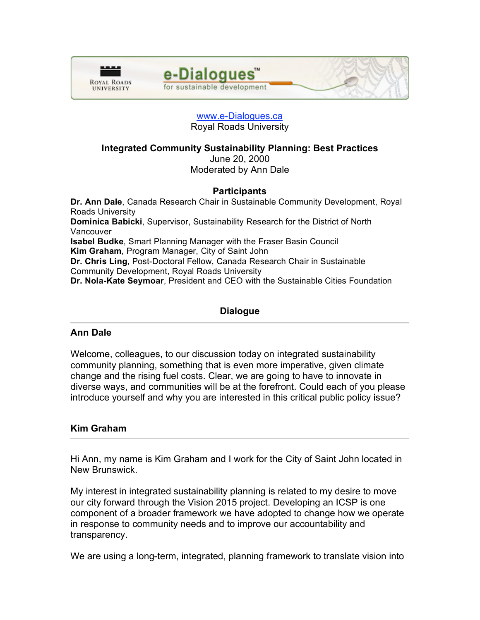



## www.e-Dialogues.ca Royal Roads University

## **Integrated Community Sustainability Planning: Best Practices** June 20, 2000 Moderated by Ann Dale

# **Participants**

**Dr. Ann Dale**, Canada Research Chair in Sustainable Community Development, Royal Roads University **Dominica Babicki**, Supervisor, Sustainability Research for the District of North Vancouver **Isabel Budke**, Smart Planning Manager with the Fraser Basin Council **Kim Graham**, Program Manager, City of Saint John **Dr. Chris Ling**, Post-Doctoral Fellow, Canada Research Chair in Sustainable Community Development, Royal Roads University **Dr. Nola-Kate Seymoar**, President and CEO with the Sustainable Cities Foundation

# **Dialogue**

## **Ann Dale**

Welcome, colleagues, to our discussion today on integrated sustainability community planning, something that is even more imperative, given climate change and the rising fuel costs. Clear, we are going to have to innovate in diverse ways, and communities will be at the forefront. Could each of you please introduce yourself and why you are interested in this critical public policy issue?

## **Kim Graham**

Hi Ann, my name is Kim Graham and I work for the City of Saint John located in New Brunswick.

My interest in integrated sustainability planning is related to my desire to move our city forward through the Vision 2015 project. Developing an ICSP is one component of a broader framework we have adopted to change how we operate in response to community needs and to improve our accountability and transparency.

We are using a long-term, integrated, planning framework to translate vision into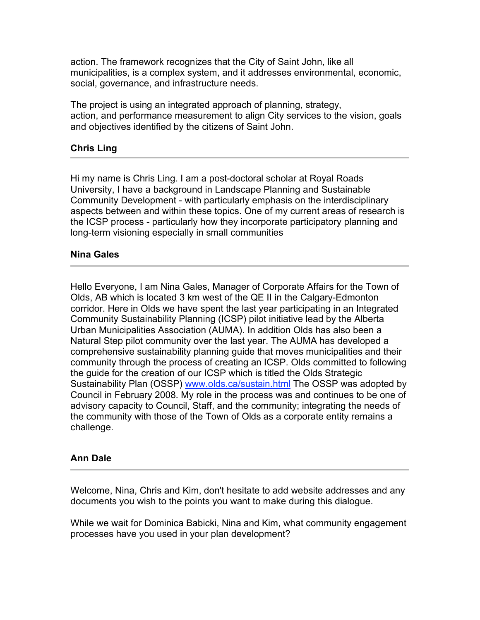action. The framework recognizes that the City of Saint John, like all municipalities, is a complex system, and it addresses environmental, economic, social, governance, and infrastructure needs.

The project is using an integrated approach of planning, strategy, action, and performance measurement to align City services to the vision, goals and objectives identified by the citizens of Saint John.

# **Chris Ling**

Hi my name is Chris Ling. I am a post-doctoral scholar at Royal Roads University, I have a background in Landscape Planning and Sustainable Community Development - with particularly emphasis on the interdisciplinary aspects between and within these topics. One of my current areas of research is the ICSP process - particularly how they incorporate participatory planning and long-term visioning especially in small communities

## **Nina Gales**

Hello Everyone, I am Nina Gales, Manager of Corporate Affairs for the Town of Olds, AB which is located 3 km west of the QE II in the Calgary-Edmonton corridor. Here in Olds we have spent the last year participating in an Integrated Community Sustainability Planning (ICSP) pilot initiative lead by the Alberta Urban Municipalities Association (AUMA). In addition Olds has also been a Natural Step pilot community over the last year. The AUMA has developed a comprehensive sustainability planning guide that moves municipalities and their community through the process of creating an ICSP. Olds committed to following the guide for the creation of our ICSP which is titled the Olds Strategic Sustainability Plan (OSSP) www.olds.ca/sustain.html The OSSP was adopted by Council in February 2008. My role in the process was and continues to be one of advisory capacity to Council, Staff, and the community; integrating the needs of the community with those of the Town of Olds as a corporate entity remains a challenge.

## **Ann Dale**

Welcome, Nina, Chris and Kim, don't hesitate to add website addresses and any documents you wish to the points you want to make during this dialogue.

While we wait for Dominica Babicki, Nina and Kim, what community engagement processes have you used in your plan development?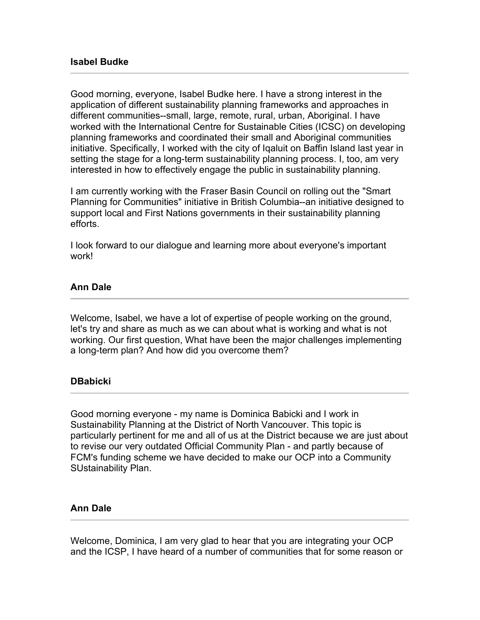Good morning, everyone, Isabel Budke here. I have a strong interest in the application of different sustainability planning frameworks and approaches in different communities--small, large, remote, rural, urban, Aboriginal. I have worked with the International Centre for Sustainable Cities (ICSC) on developing planning frameworks and coordinated their small and Aboriginal communities initiative. Specifically, I worked with the city of Iqaluit on Baffin Island last year in setting the stage for a long-term sustainability planning process. I, too, am very interested in how to effectively engage the public in sustainability planning.

I am currently working with the Fraser Basin Council on rolling out the "Smart Planning for Communities" initiative in British Columbia--an initiative designed to support local and First Nations governments in their sustainability planning efforts.

I look forward to our dialogue and learning more about everyone's important work!

# **Ann Dale**

Welcome, Isabel, we have a lot of expertise of people working on the ground, let's try and share as much as we can about what is working and what is not working. Our first question, What have been the major challenges implementing a long-term plan? And how did you overcome them?

## **DBabicki**

Good morning everyone - my name is Dominica Babicki and I work in Sustainability Planning at the District of North Vancouver. This topic is particularly pertinent for me and all of us at the District because we are just about to revise our very outdated Official Community Plan - and partly because of FCM's funding scheme we have decided to make our OCP into a Community SUstainability Plan.

## **Ann Dale**

Welcome, Dominica, I am very glad to hear that you are integrating your OCP and the ICSP, I have heard of a number of communities that for some reason or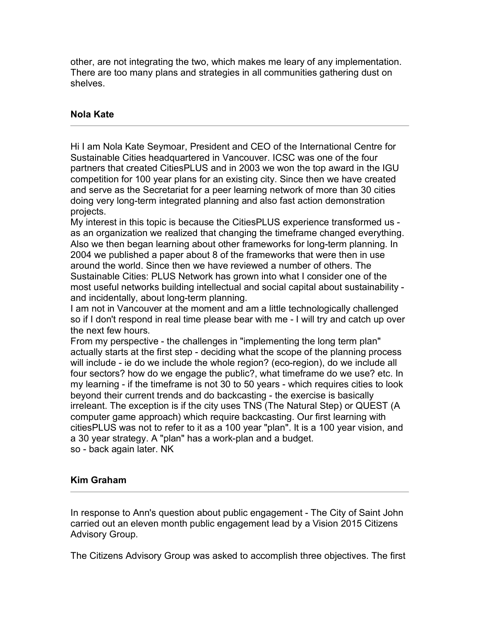other, are not integrating the two, which makes me leary of any implementation. There are too many plans and strategies in all communities gathering dust on shelves.

# **Nola Kate**

Hi I am Nola Kate Seymoar, President and CEO of the International Centre for Sustainable Cities headquartered in Vancouver. ICSC was one of the four partners that created CitiesPLUS and in 2003 we won the top award in the IGU competition for 100 year plans for an existing city. Since then we have created and serve as the Secretariat for a peer learning network of more than 30 cities doing very long-term integrated planning and also fast action demonstration projects.

My interest in this topic is because the CitiesPLUS experience transformed us as an organization we realized that changing the timeframe changed everything. Also we then began learning about other frameworks for long-term planning. In 2004 we published a paper about 8 of the frameworks that were then in use around the world. Since then we have reviewed a number of others. The Sustainable Cities: PLUS Network has grown into what I consider one of the most useful networks building intellectual and social capital about sustainability and incidentally, about long-term planning.

I am not in Vancouver at the moment and am a little technologically challenged so if I don't respond in real time please bear with me - I will try and catch up over the next few hours.

From my perspective - the challenges in "implementing the long term plan" actually starts at the first step - deciding what the scope of the planning process will include - ie do we include the whole region? (eco-region), do we include all four sectors? how do we engage the public?, what timeframe do we use? etc. In my learning - if the timeframe is not 30 to 50 years - which requires cities to look beyond their current trends and do backcasting - the exercise is basically irreleant. The exception is if the city uses TNS (The Natural Step) or QUEST (A computer game approach) which require backcasting. Our first learning with citiesPLUS was not to refer to it as a 100 year "plan". It is a 100 year vision, and a 30 year strategy. A "plan" has a work-plan and a budget. so - back again later. NK

# **Kim Graham**

In response to Ann's question about public engagement - The City of Saint John carried out an eleven month public engagement lead by a Vision 2015 Citizens Advisory Group.

The Citizens Advisory Group was asked to accomplish three objectives. The first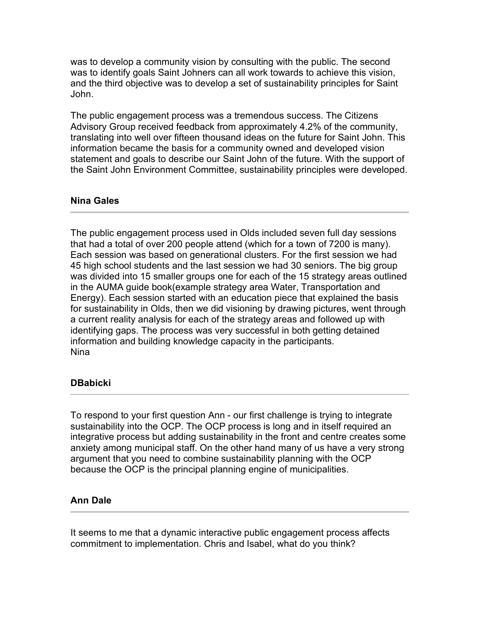was to develop a community vision by consulting with the public. The second was to identify goals Saint Johners can all work towards to achieve this vision, and the third objective was to develop a set of sustainability principles for Saint John.

The public engagement process was a tremendous success. The Citizens Advisory Group received feedback from approximately 4.2% of the community, translating into well over fifteen thousand ideas on the future for Saint John. This information became the basis for a community owned and developed vision statement and goals to describe our Saint John of the future. With the support of the Saint John Environment Committee, sustainability principles were developed.

### **Nina Gales**

The public engagement process used in Olds included seven full day sessions that had a total of over 200 people attend (which for a town of 7200 is many). Each session was based on generational clusters. For the first session we had 45 high school students and the last session we had 30 seniors. The big group was divided into 15 smaller groups one for each of the 15 strategy areas outlined in the AUMA guide book(example strategy area Water, Transportation and Energy). Each session started with an education piece that explained the basis for sustainability in Olds, then we did visioning by drawing pictures, went through a current reality analysis for each of the strategy areas and followed up with identifying gaps. The process was very successful in both getting detained information and building knowledge capacity in the participants. Nina

## **DBabicki**

To respond to your first question Ann - our first challenge is trying to integrate sustainability into the OCP. The OCP process is long and in itself required an integrative process but adding sustainability in the front and centre creates some anxiety among municipal staff. On the other hand many of us have a very strong argument that you need to combine sustainability planning with the OCP because the OCP is the principal planning engine of municipalities.

#### **Ann Dale**

It seems to me that a dynamic interactive public engagement process affects commitment to implementation. Chris and Isabel, what do you think?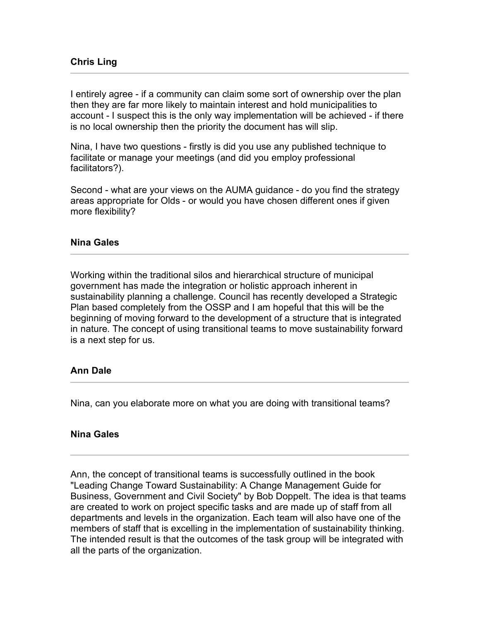I entirely agree - if a community can claim some sort of ownership over the plan then they are far more likely to maintain interest and hold municipalities to account - I suspect this is the only way implementation will be achieved - if there is no local ownership then the priority the document has will slip.

Nina, I have two questions - firstly is did you use any published technique to facilitate or manage your meetings (and did you employ professional facilitators?).

Second - what are your views on the AUMA guidance - do you find the strategy areas appropriate for Olds - or would you have chosen different ones if given more flexibility?

### **Nina Gales**

Working within the traditional silos and hierarchical structure of municipal government has made the integration or holistic approach inherent in sustainability planning a challenge. Council has recently developed a Strategic Plan based completely from the OSSP and I am hopeful that this will be the beginning of moving forward to the development of a structure that is integrated in nature. The concept of using transitional teams to move sustainability forward is a next step for us.

## **Ann Dale**

Nina, can you elaborate more on what you are doing with transitional teams?

#### **Nina Gales**

Ann, the concept of transitional teams is successfully outlined in the book "Leading Change Toward Sustainability: A Change Management Guide for Business, Government and Civil Society" by Bob Doppelt. The idea is that teams are created to work on project specific tasks and are made up of staff from all departments and levels in the organization. Each team will also have one of the members of staff that is excelling in the implementation of sustainability thinking. The intended result is that the outcomes of the task group will be integrated with all the parts of the organization.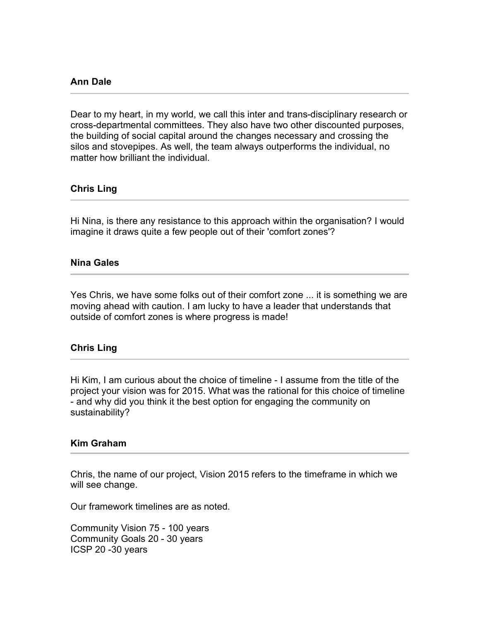#### **Ann Dale**

Dear to my heart, in my world, we call this inter and trans-disciplinary research or cross-departmental committees. They also have two other discounted purposes, the building of social capital around the changes necessary and crossing the silos and stovepipes. As well, the team always outperforms the individual, no matter how brilliant the individual.

### **Chris Ling**

Hi Nina, is there any resistance to this approach within the organisation? I would imagine it draws quite a few people out of their 'comfort zones'?

#### **Nina Gales**

Yes Chris, we have some folks out of their comfort zone ... it is something we are moving ahead with caution. I am lucky to have a leader that understands that outside of comfort zones is where progress is made!

#### **Chris Ling**

Hi Kim, I am curious about the choice of timeline - I assume from the title of the project your vision was for 2015. What was the rational for this choice of timeline - and why did you think it the best option for engaging the community on sustainability?

#### **Kim Graham**

Chris, the name of our project, Vision 2015 refers to the timeframe in which we will see change.

Our framework timelines are as noted.

Community Vision 75 - 100 years Community Goals 20 - 30 years ICSP 20 -30 years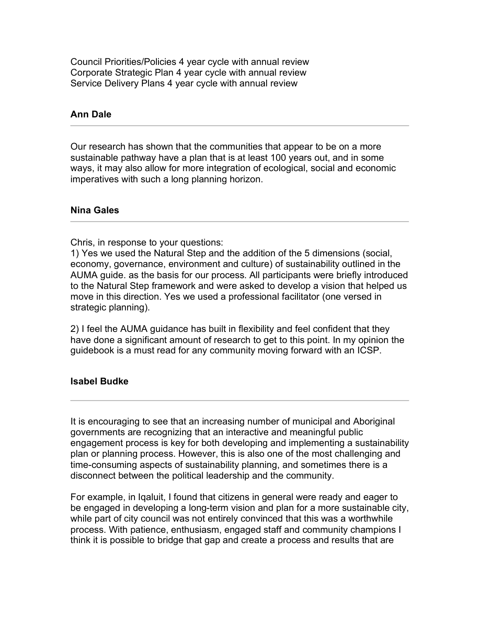Council Priorities/Policies 4 year cycle with annual review Corporate Strategic Plan 4 year cycle with annual review Service Delivery Plans 4 year cycle with annual review

# **Ann Dale**

Our research has shown that the communities that appear to be on a more sustainable pathway have a plan that is at least 100 years out, and in some ways, it may also allow for more integration of ecological, social and economic imperatives with such a long planning horizon.

## **Nina Gales**

Chris, in response to your questions:

1) Yes we used the Natural Step and the addition of the 5 dimensions (social, economy, governance, environment and culture) of sustainability outlined in the AUMA guide. as the basis for our process. All participants were briefly introduced to the Natural Step framework and were asked to develop a vision that helped us move in this direction. Yes we used a professional facilitator (one versed in strategic planning).

2) I feel the AUMA guidance has built in flexibility and feel confident that they have done a significant amount of research to get to this point. In my opinion the guidebook is a must read for any community moving forward with an ICSP.

## **Isabel Budke**

It is encouraging to see that an increasing number of municipal and Aboriginal governments are recognizing that an interactive and meaningful public engagement process is key for both developing and implementing a sustainability plan or planning process. However, this is also one of the most challenging and time-consuming aspects of sustainability planning, and sometimes there is a disconnect between the political leadership and the community.

For example, in Iqaluit, I found that citizens in general were ready and eager to be engaged in developing a long-term vision and plan for a more sustainable city, while part of city council was not entirely convinced that this was a worthwhile process. With patience, enthusiasm, engaged staff and community champions I think it is possible to bridge that gap and create a process and results that are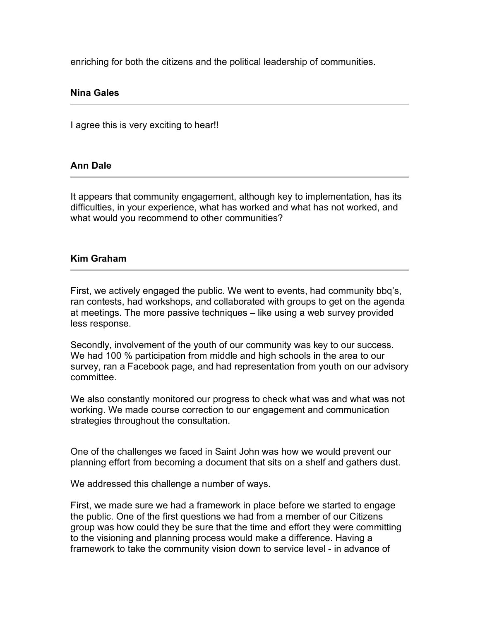enriching for both the citizens and the political leadership of communities.

### **Nina Gales**

I agree this is very exciting to hear!!

### **Ann Dale**

It appears that community engagement, although key to implementation, has its difficulties, in your experience, what has worked and what has not worked, and what would you recommend to other communities?

### **Kim Graham**

First, we actively engaged the public. We went to events, had community bbq's, ran contests, had workshops, and collaborated with groups to get on the agenda at meetings. The more passive techniques – like using a web survey provided less response.

Secondly, involvement of the youth of our community was key to our success. We had 100 % participation from middle and high schools in the area to our survey, ran a Facebook page, and had representation from youth on our advisory committee.

We also constantly monitored our progress to check what was and what was not working. We made course correction to our engagement and communication strategies throughout the consultation.

One of the challenges we faced in Saint John was how we would prevent our planning effort from becoming a document that sits on a shelf and gathers dust.

We addressed this challenge a number of ways.

First, we made sure we had a framework in place before we started to engage the public. One of the first questions we had from a member of our Citizens group was how could they be sure that the time and effort they were committing to the visioning and planning process would make a difference. Having a framework to take the community vision down to service level - in advance of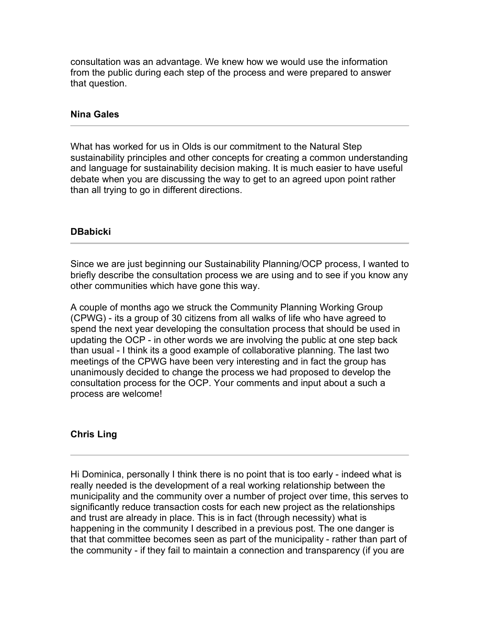consultation was an advantage. We knew how we would use the information from the public during each step of the process and were prepared to answer that question.

#### **Nina Gales**

What has worked for us in Olds is our commitment to the Natural Step sustainability principles and other concepts for creating a common understanding and language for sustainability decision making. It is much easier to have useful debate when you are discussing the way to get to an agreed upon point rather than all trying to go in different directions.

#### **DBabicki**

Since we are just beginning our Sustainability Planning/OCP process, I wanted to briefly describe the consultation process we are using and to see if you know any other communities which have gone this way.

A couple of months ago we struck the Community Planning Working Group (CPWG) - its a group of 30 citizens from all walks of life who have agreed to spend the next year developing the consultation process that should be used in updating the OCP - in other words we are involving the public at one step back than usual - I think its a good example of collaborative planning. The last two meetings of the CPWG have been very interesting and in fact the group has unanimously decided to change the process we had proposed to develop the consultation process for the OCP. Your comments and input about a such a process are welcome!

#### **Chris Ling**

Hi Dominica, personally I think there is no point that is too early - indeed what is really needed is the development of a real working relationship between the municipality and the community over a number of project over time, this serves to significantly reduce transaction costs for each new project as the relationships and trust are already in place. This is in fact (through necessity) what is happening in the community I described in a previous post. The one danger is that that committee becomes seen as part of the municipality - rather than part of the community - if they fail to maintain a connection and transparency (if you are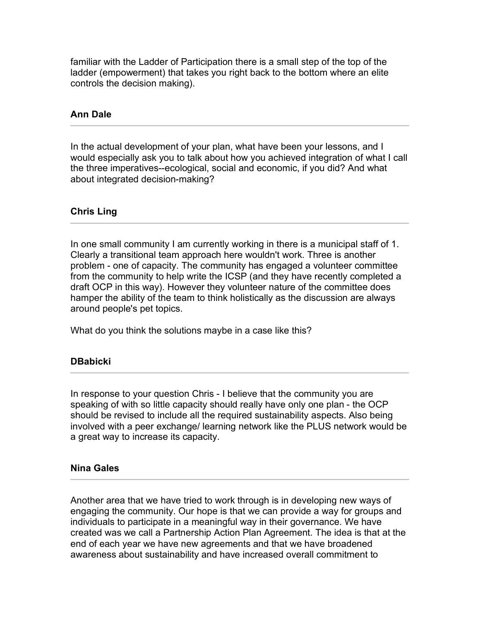familiar with the Ladder of Participation there is a small step of the top of the ladder (empowerment) that takes you right back to the bottom where an elite controls the decision making).

# **Ann Dale**

In the actual development of your plan, what have been your lessons, and I would especially ask you to talk about how you achieved integration of what I call the three imperatives--ecological, social and economic, if you did? And what about integrated decision-making?

## **Chris Ling**

In one small community I am currently working in there is a municipal staff of 1. Clearly a transitional team approach here wouldn't work. Three is another problem - one of capacity. The community has engaged a volunteer committee from the community to help write the ICSP (and they have recently completed a draft OCP in this way). However they volunteer nature of the committee does hamper the ability of the team to think holistically as the discussion are always around people's pet topics.

What do you think the solutions maybe in a case like this?

## **DBabicki**

In response to your question Chris - I believe that the community you are speaking of with so little capacity should really have only one plan - the OCP should be revised to include all the required sustainability aspects. Also being involved with a peer exchange/ learning network like the PLUS network would be a great way to increase its capacity.

## **Nina Gales**

Another area that we have tried to work through is in developing new ways of engaging the community. Our hope is that we can provide a way for groups and individuals to participate in a meaningful way in their governance. We have created was we call a Partnership Action Plan Agreement. The idea is that at the end of each year we have new agreements and that we have broadened awareness about sustainability and have increased overall commitment to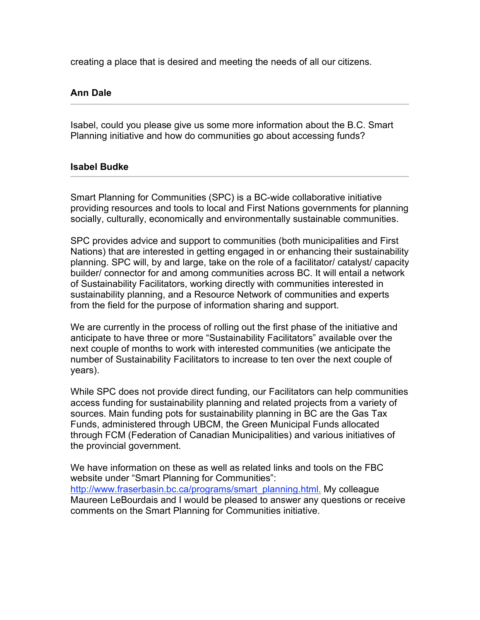creating a place that is desired and meeting the needs of all our citizens.

# **Ann Dale**

Isabel, could you please give us some more information about the B.C. Smart Planning initiative and how do communities go about accessing funds?

### **Isabel Budke**

Smart Planning for Communities (SPC) is a BC-wide collaborative initiative providing resources and tools to local and First Nations governments for planning socially, culturally, economically and environmentally sustainable communities.

SPC provides advice and support to communities (both municipalities and First Nations) that are interested in getting engaged in or enhancing their sustainability planning. SPC will, by and large, take on the role of a facilitator/ catalyst/ capacity builder/ connector for and among communities across BC. It will entail a network of Sustainability Facilitators, working directly with communities interested in sustainability planning, and a Resource Network of communities and experts from the field for the purpose of information sharing and support.

We are currently in the process of rolling out the first phase of the initiative and anticipate to have three or more "Sustainability Facilitators" available over the next couple of months to work with interested communities (we anticipate the number of Sustainability Facilitators to increase to ten over the next couple of years).

While SPC does not provide direct funding, our Facilitators can help communities access funding for sustainability planning and related projects from a variety of sources. Main funding pots for sustainability planning in BC are the Gas Tax Funds, administered through UBCM, the Green Municipal Funds allocated through FCM (Federation of Canadian Municipalities) and various initiatives of the provincial government.

We have information on these as well as related links and tools on the FBC website under "Smart Planning for Communities": http://www.fraserbasin.bc.ca/programs/smart\_planning.html. My colleague Maureen LeBourdais and I would be pleased to answer any questions or receive comments on the Smart Planning for Communities initiative.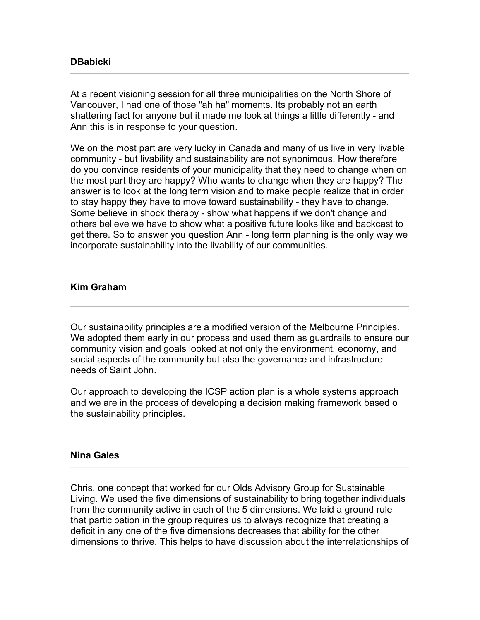### **DBabicki**

At a recent visioning session for all three municipalities on the North Shore of Vancouver, I had one of those "ah ha" moments. Its probably not an earth shattering fact for anyone but it made me look at things a little differently - and Ann this is in response to your question.

We on the most part are very lucky in Canada and many of us live in very livable community - but livability and sustainability are not synonimous. How therefore do you convince residents of your municipality that they need to change when on the most part they are happy? Who wants to change when they are happy? The answer is to look at the long term vision and to make people realize that in order to stay happy they have to move toward sustainability - they have to change. Some believe in shock therapy - show what happens if we don't change and others believe we have to show what a positive future looks like and backcast to get there. So to answer you question Ann - long term planning is the only way we incorporate sustainability into the livability of our communities.

## **Kim Graham**

Our sustainability principles are a modified version of the Melbourne Principles. We adopted them early in our process and used them as guardrails to ensure our community vision and goals looked at not only the environment, economy, and social aspects of the community but also the governance and infrastructure needs of Saint John.

Our approach to developing the ICSP action plan is a whole systems approach and we are in the process of developing a decision making framework based o the sustainability principles.

#### **Nina Gales**

Chris, one concept that worked for our Olds Advisory Group for Sustainable Living. We used the five dimensions of sustainability to bring together individuals from the community active in each of the 5 dimensions. We laid a ground rule that participation in the group requires us to always recognize that creating a deficit in any one of the five dimensions decreases that ability for the other dimensions to thrive. This helps to have discussion about the interrelationships of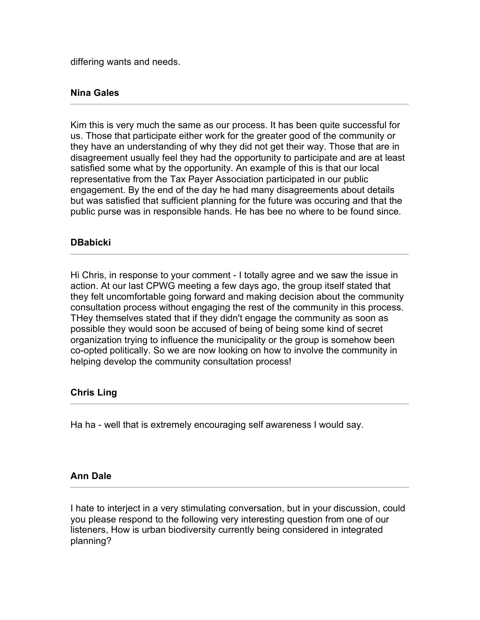differing wants and needs.

## **Nina Gales**

Kim this is very much the same as our process. It has been quite successful for us. Those that participate either work for the greater good of the community or they have an understanding of why they did not get their way. Those that are in disagreement usually feel they had the opportunity to participate and are at least satisfied some what by the opportunity. An example of this is that our local representative from the Tax Payer Association participated in our public engagement. By the end of the day he had many disagreements about details but was satisfied that sufficient planning for the future was occuring and that the public purse was in responsible hands. He has bee no where to be found since.

### **DBabicki**

Hi Chris, in response to your comment - I totally agree and we saw the issue in action. At our last CPWG meeting a few days ago, the group itself stated that they felt uncomfortable going forward and making decision about the community consultation process without engaging the rest of the community in this process. THey themselves stated that if they didn't engage the community as soon as possible they would soon be accused of being of being some kind of secret organization trying to influence the municipality or the group is somehow been co-opted politically. So we are now looking on how to involve the community in helping develop the community consultation process!

## **Chris Ling**

Ha ha - well that is extremely encouraging self awareness I would say.

#### **Ann Dale**

I hate to interject in a very stimulating conversation, but in your discussion, could you please respond to the following very interesting question from one of our listeners, How is urban biodiversity currently being considered in integrated planning?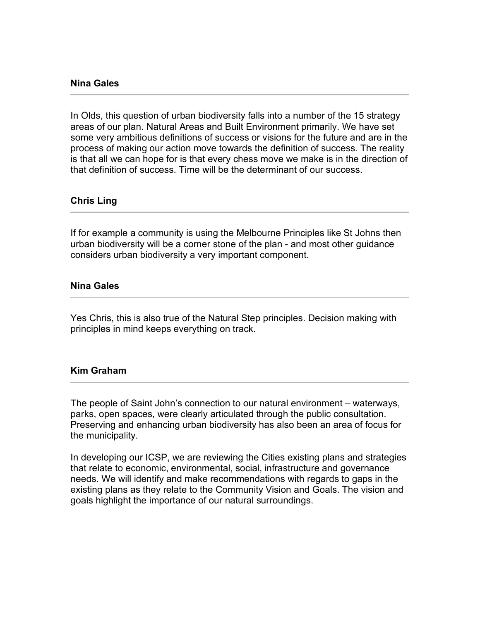#### **Nina Gales**

In Olds, this question of urban biodiversity falls into a number of the 15 strategy areas of our plan. Natural Areas and Built Environment primarily. We have set some very ambitious definitions of success or visions for the future and are in the process of making our action move towards the definition of success. The reality is that all we can hope for is that every chess move we make is in the direction of that definition of success. Time will be the determinant of our success.

#### **Chris Ling**

If for example a community is using the Melbourne Principles like St Johns then urban biodiversity will be a corner stone of the plan - and most other guidance considers urban biodiversity a very important component.

### **Nina Gales**

Yes Chris, this is also true of the Natural Step principles. Decision making with principles in mind keeps everything on track.

#### **Kim Graham**

The people of Saint John's connection to our natural environment – waterways, parks, open spaces, were clearly articulated through the public consultation. Preserving and enhancing urban biodiversity has also been an area of focus for the municipality.

In developing our ICSP, we are reviewing the Cities existing plans and strategies that relate to economic, environmental, social, infrastructure and governance needs. We will identify and make recommendations with regards to gaps in the existing plans as they relate to the Community Vision and Goals. The vision and goals highlight the importance of our natural surroundings.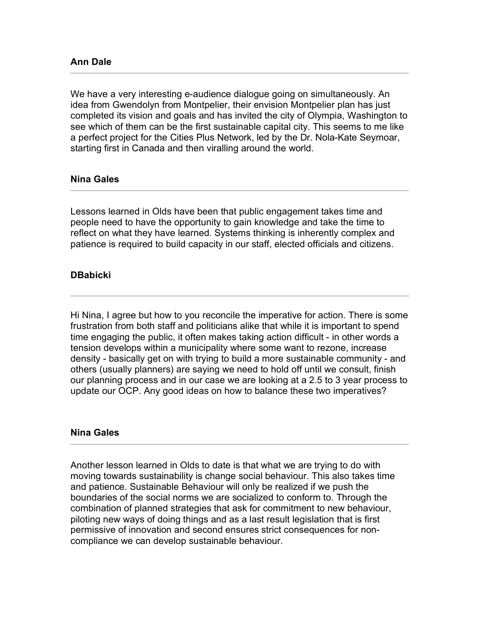We have a very interesting e-audience dialogue going on simultaneously. An idea from Gwendolyn from Montpelier, their envision Montpelier plan has just completed its vision and goals and has invited the city of Olympia, Washington to see which of them can be the first sustainable capital city. This seems to me like a perfect project for the Cities Plus Network, led by the Dr. Nola-Kate Seymoar, starting first in Canada and then viralling around the world.

## **Nina Gales**

Lessons learned in Olds have been that public engagement takes time and people need to have the opportunity to gain knowledge and take the time to reflect on what they have learned. Systems thinking is inherently complex and patience is required to build capacity in our staff, elected officials and citizens.

## **DBabicki**

Hi Nina, I agree but how to you reconcile the imperative for action. There is some frustration from both staff and politicians alike that while it is important to spend time engaging the public, it often makes taking action difficult - in other words a tension develops within a municipality where some want to rezone, increase density - basically get on with trying to build a more sustainable community - and others (usually planners) are saying we need to hold off until we consult, finish our planning process and in our case we are looking at a 2.5 to 3 year process to update our OCP. Any good ideas on how to balance these two imperatives?

#### **Nina Gales**

Another lesson learned in Olds to date is that what we are trying to do with moving towards sustainability is change social behaviour. This also takes time and patience. Sustainable Behaviour will only be realized if we push the boundaries of the social norms we are socialized to conform to. Through the combination of planned strategies that ask for commitment to new behaviour, piloting new ways of doing things and as a last result legislation that is first permissive of innovation and second ensures strict consequences for noncompliance we can develop sustainable behaviour.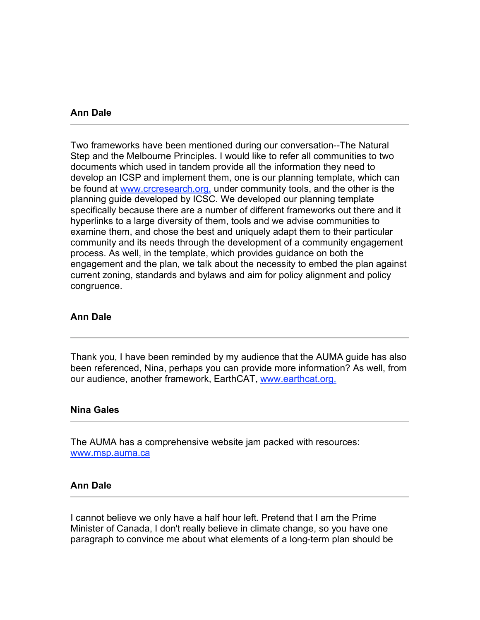#### **Ann Dale**

Two frameworks have been mentioned during our conversation--The Natural Step and the Melbourne Principles. I would like to refer all communities to two documents which used in tandem provide all the information they need to develop an ICSP and implement them, one is our planning template, which can be found at www.crcresearch.org, under community tools, and the other is the planning guide developed by ICSC. We developed our planning template specifically because there are a number of different frameworks out there and it hyperlinks to a large diversity of them, tools and we advise communities to examine them, and chose the best and uniquely adapt them to their particular community and its needs through the development of a community engagement process. As well, in the template, which provides guidance on both the engagement and the plan, we talk about the necessity to embed the plan against current zoning, standards and bylaws and aim for policy alignment and policy congruence.

#### **Ann Dale**

Thank you, I have been reminded by my audience that the AUMA guide has also been referenced, Nina, perhaps you can provide more information? As well, from our audience, another framework, EarthCAT, www.earthcat.org.

#### **Nina Gales**

The AUMA has a comprehensive website jam packed with resources: www.msp.auma.ca

#### **Ann Dale**

I cannot believe we only have a half hour left. Pretend that I am the Prime Minister of Canada, I don't really believe in climate change, so you have one paragraph to convince me about what elements of a long-term plan should be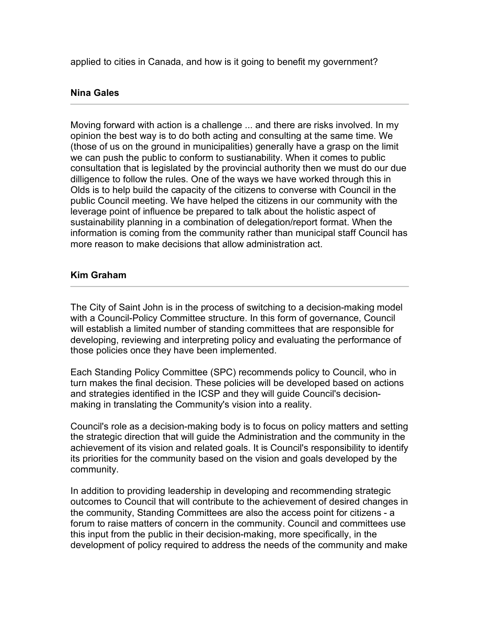applied to cities in Canada, and how is it going to benefit my government?

# **Nina Gales**

Moving forward with action is a challenge ... and there are risks involved. In my opinion the best way is to do both acting and consulting at the same time. We (those of us on the ground in municipalities) generally have a grasp on the limit we can push the public to conform to sustianability. When it comes to public consultation that is legislated by the provincial authority then we must do our due dilligence to follow the rules. One of the ways we have worked through this in Olds is to help build the capacity of the citizens to converse with Council in the public Council meeting. We have helped the citizens in our community with the leverage point of influence be prepared to talk about the holistic aspect of sustainability planning in a combination of delegation/report format. When the information is coming from the community rather than municipal staff Council has more reason to make decisions that allow administration act.

## **Kim Graham**

The City of Saint John is in the process of switching to a decision-making model with a Council-Policy Committee structure. In this form of governance, Council will establish a limited number of standing committees that are responsible for developing, reviewing and interpreting policy and evaluating the performance of those policies once they have been implemented.

Each Standing Policy Committee (SPC) recommends policy to Council, who in turn makes the final decision. These policies will be developed based on actions and strategies identified in the ICSP and they will guide Council's decisionmaking in translating the Community's vision into a reality.

Council's role as a decision-making body is to focus on policy matters and setting the strategic direction that will guide the Administration and the community in the achievement of its vision and related goals. It is Council's responsibility to identify its priorities for the community based on the vision and goals developed by the community.

In addition to providing leadership in developing and recommending strategic outcomes to Council that will contribute to the achievement of desired changes in the community, Standing Committees are also the access point for citizens - a forum to raise matters of concern in the community. Council and committees use this input from the public in their decision-making, more specifically, in the development of policy required to address the needs of the community and make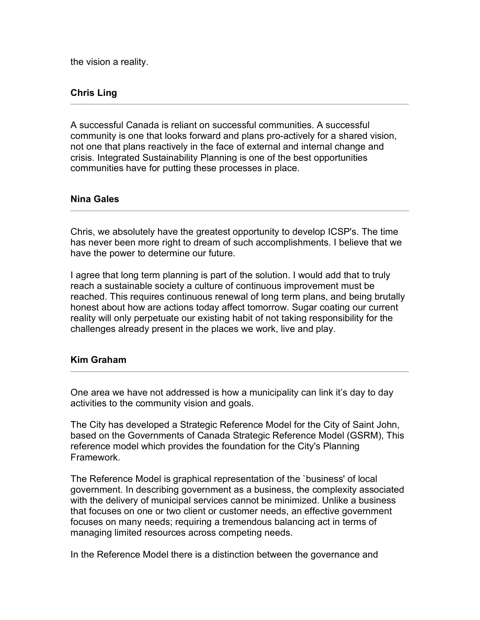the vision a reality.

# **Chris Ling**

A successful Canada is reliant on successful communities. A successful community is one that looks forward and plans pro-actively for a shared vision, not one that plans reactively in the face of external and internal change and crisis. Integrated Sustainability Planning is one of the best opportunities communities have for putting these processes in place.

### **Nina Gales**

Chris, we absolutely have the greatest opportunity to develop ICSP's. The time has never been more right to dream of such accomplishments. I believe that we have the power to determine our future.

I agree that long term planning is part of the solution. I would add that to truly reach a sustainable society a culture of continuous improvement must be reached. This requires continuous renewal of long term plans, and being brutally honest about how are actions today affect tomorrow. Sugar coating our current reality will only perpetuate our existing habit of not taking responsibility for the challenges already present in the places we work, live and play.

#### **Kim Graham**

One area we have not addressed is how a municipality can link it's day to day activities to the community vision and goals.

The City has developed a Strategic Reference Model for the City of Saint John, based on the Governments of Canada Strategic Reference Model (GSRM), This reference model which provides the foundation for the City's Planning Framework.

The Reference Model is graphical representation of the `business' of local government. In describing government as a business, the complexity associated with the delivery of municipal services cannot be minimized. Unlike a business that focuses on one or two client or customer needs, an effective government focuses on many needs; requiring a tremendous balancing act in terms of managing limited resources across competing needs.

In the Reference Model there is a distinction between the governance and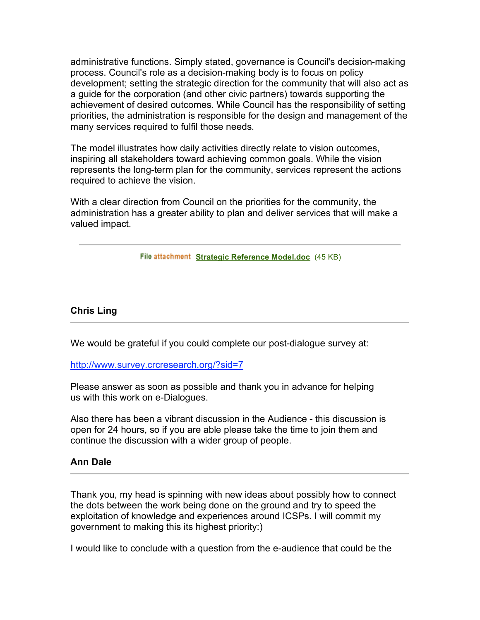administrative functions. Simply stated, governance is Council's decision-making process. Council's role as a decision-making body is to focus on policy development; setting the strategic direction for the community that will also act as a guide for the corporation (and other civic partners) towards supporting the achievement of desired outcomes. While Council has the responsibility of setting priorities, the administration is responsible for the design and management of the many services required to fulfil those needs.

The model illustrates how daily activities directly relate to vision outcomes, inspiring all stakeholders toward achieving common goals. While the vision represents the long-term plan for the community, services represent the actions required to achieve the vision.

With a clear direction from Council on the priorities for the community, the administration has a greater ability to plan and deliver services that will make a valued impact.

**File attachment Strategic Reference Model.doc** (45 KB)

### **Chris Ling**

We would be grateful if you could complete our post-dialogue survey at:

http://www.survey.crcresearch.org/?sid=7

Please answer as soon as possible and thank you in advance for helping us with this work on e-Dialogues.

Also there has been a vibrant discussion in the Audience - this discussion is open for 24 hours, so if you are able please take the time to join them and continue the discussion with a wider group of people.

#### **Ann Dale**

Thank you, my head is spinning with new ideas about possibly how to connect the dots between the work being done on the ground and try to speed the exploitation of knowledge and experiences around ICSPs. I will commit my government to making this its highest priority:)

I would like to conclude with a question from the e-audience that could be the